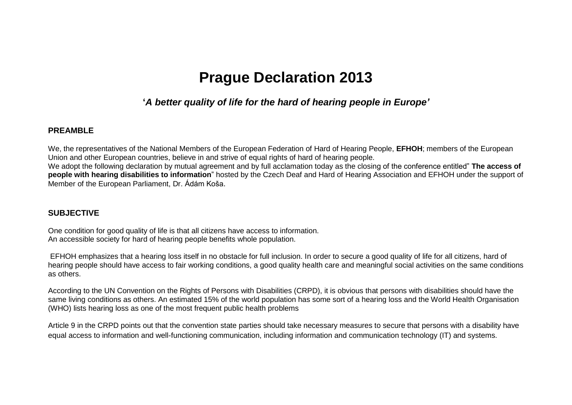# **Prague Declaration 2013**

# **'***A better quality of life for the hard of hearing people in Europe'*

#### **PREAMBLE**

We, the representatives of the National Members of the European Federation of Hard of Hearing People, **EFHOH**; members of the European Union and other European countries, believe in and strive of equal rights of hard of hearing people. We adopt the following declaration by mutual agreement and by full acclamation today as the closing of the conference entitled" **The access of people with hearing disabilities to information**" hosted by the Czech Deaf and Hard of Hearing Association and EFHOH under the support of Member of the European Parliament, Dr. Ádám Koša.

## **SUBJECTIVE**

One condition for good quality of life is that all citizens have access to information. An accessible society for hard of hearing people benefits whole population.

EFHOH emphasizes that a hearing loss itself in no obstacle for full inclusion. In order to secure a good quality of life for all citizens, hard of hearing people should have access to fair working conditions, a good quality health care and meaningful social activities on the same conditions as others.

According to the UN Convention on the Rights of Persons with Disabilities (CRPD), it is obvious that persons with disabilities should have the same living conditions as others. An estimated 15% of the world population has some sort of a hearing loss and the World Health Organisation (WHO) lists hearing loss as one of the most frequent public health problems

Article 9 in the CRPD points out that the convention state parties should take necessary measures to secure that persons with a disability have equal access to information and well-functioning communication, including information and communication technology (IT) and systems.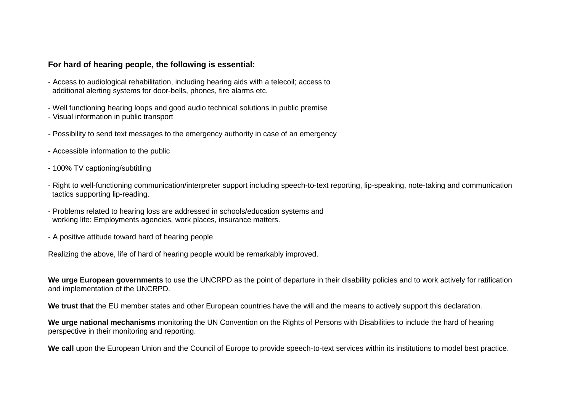### **For hard of hearing people, the following is essential:**

- Access to audiological rehabilitation, including hearing aids with a telecoil; access to additional alerting systems for door-bells, phones, fire alarms etc.
- Well functioning hearing loops and good audio technical solutions in public premise
- Visual information in public transport
- Possibility to send text messages to the emergency authority in case of an emergency
- Accessible information to the public
- 100% TV captioning/subtitling
- Right to well-functioning communication/interpreter support including speech-to-text reporting, lip-speaking, note-taking and communication tactics supporting lip-reading.
- Problems related to hearing loss are addressed in schools/education systems and working life: Employments agencies, work places, insurance matters.
- A positive attitude toward hard of hearing people

Realizing the above, life of hard of hearing people would be remarkably improved.

**We urge European governments** to use the UNCRPD as the point of departure in their disability policies and to work actively for ratification and implementation of the UNCRPD.

**We trust that** the EU member states and other European countries have the will and the means to actively support this declaration.

**We urge national mechanisms** monitoring the UN Convention on the Rights of Persons with Disabilities to include the hard of hearing perspective in their monitoring and reporting.

**We call** upon the European Union and the Council of Europe to provide speech-to-text services within its institutions to model best practice.